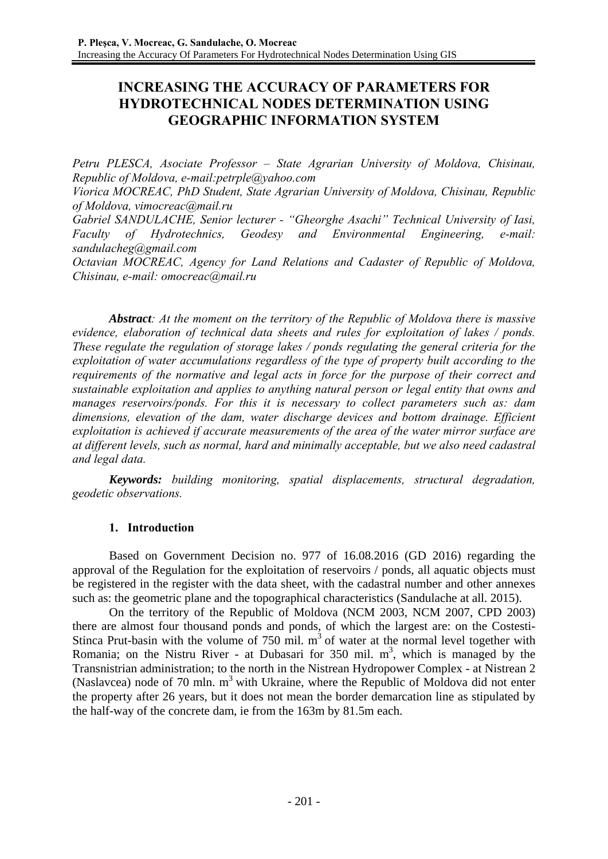# **INCREASING THE ACCURACY OF PARAMETERS FOR HYDROTECHNICAL NODES DETERMINATION USING GEOGRAPHIC INFORMATION SYSTEM**

*Petru PLESCA, Asociate Professor – State Agrarian University of Moldova, Chisinau, Republic of Moldova, e-mail:petrple@yahoo.com* 

*Viorica MOCREAC, PhD Student, State Agrarian University of Moldova, Chisinau, Republic of Moldova, vimocreac@mail.ru* 

*Gabriel SANDULACHE, Senior lecturer - "Gheorghe Asachi" Technical University of Iasi, Faculty of Hydrotechnics, Geodesy and Environmental Engineering, e-mail: sandulacheg@gmail.com* 

*Octavian MOCREAC, Agency for Land Relations and Cadaster of Republic of Moldova, Chisinau, e-mail: omocreac@mail.ru* 

*Abstract: At the moment on the territory of the Republic of Moldova there is massive evidence, elaboration of technical data sheets and rules for exploitation of lakes / ponds. These regulate the regulation of storage lakes / ponds regulating the general criteria for the exploitation of water accumulations regardless of the type of property built according to the requirements of the normative and legal acts in force for the purpose of their correct and sustainable exploitation and applies to anything natural person or legal entity that owns and manages reservoirs/ponds. For this it is necessary to collect parameters such as: dam dimensions, elevation of the dam, water discharge devices and bottom drainage. Efficient exploitation is achieved if accurate measurements of the area of the water mirror surface are at different levels, such as normal, hard and minimally acceptable, but we also need cadastral and legal data.* 

*Keywords: building monitoring, spatial displacements, structural degradation, geodetic observations.* 

# **1. Introduction**

Based on Government Decision no. 977 of 16.08.2016 (GD 2016) regarding the approval of the Regulation for the exploitation of reservoirs / ponds, all aquatic objects must be registered in the register with the data sheet, with the cadastral number and other annexes such as: the geometric plane and the topographical characteristics (Sandulache at all. 2015).

On the territory of the Republic of Moldova (NCM 2003, NCM 2007, CPD 2003) there are almost four thousand ponds and ponds, of which the largest are: on the Costesti-Stinca Prut-basin with the volume of 750 mil.  $m<sup>3</sup>$  of water at the normal level together with Romania; on the Nistru River - at Dubasari for 350 mil.  $m<sup>3</sup>$ , which is managed by the Transnistrian administration; to the north in the Nistrean Hydropower Complex - at Nistrean 2 (Naslavcea) node of 70 mln.  $m<sup>3</sup>$  with Ukraine, where the Republic of Moldova did not enter the property after 26 years, but it does not mean the border demarcation line as stipulated by the half-way of the concrete dam, ie from the 163m by 81.5m each.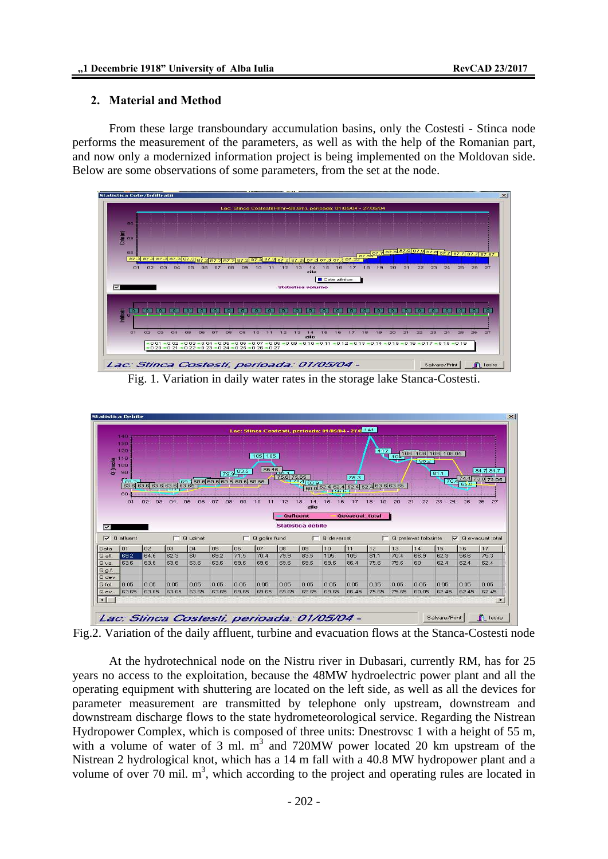### **2. Material and Method**

From these large transboundary accumulation basins, only the Costesti - Stinca node performs the measurement of the parameters, as well as with the help of the Romanian part, and now only a modernized information project is being implemented on the Moldovan side. Below are some observations of some parameters, from the set at the node.



Fig. 1. Variation in daily water rates in the storage lake Stanca-Costesti.



Fig.2. Variation of the daily affluent, turbine and evacuation flows at the Stanca-Costesti node

At the hydrotechnical node on the Nistru river in Dubasari, currently RM, has for 25 years no access to the exploitation, because the 48MW hydroelectric power plant and all the operating equipment with shuttering are located on the left side, as well as all the devices for parameter measurement are transmitted by telephone only upstream, downstream and downstream discharge flows to the state hydrometeorological service. Regarding the Nistrean Hydropower Complex, which is composed of three units: Dnestrovsc 1 with a height of 55 m, with a volume of water of 3 ml.  $m<sup>3</sup>$  and 720MW power located 20 km upstream of the Nistrean 2 hydrological knot, which has a 14 m fall with a 40.8 MW hydropower plant and a volume of over  $70$  mil.  $m<sup>3</sup>$ , which according to the project and operating rules are located in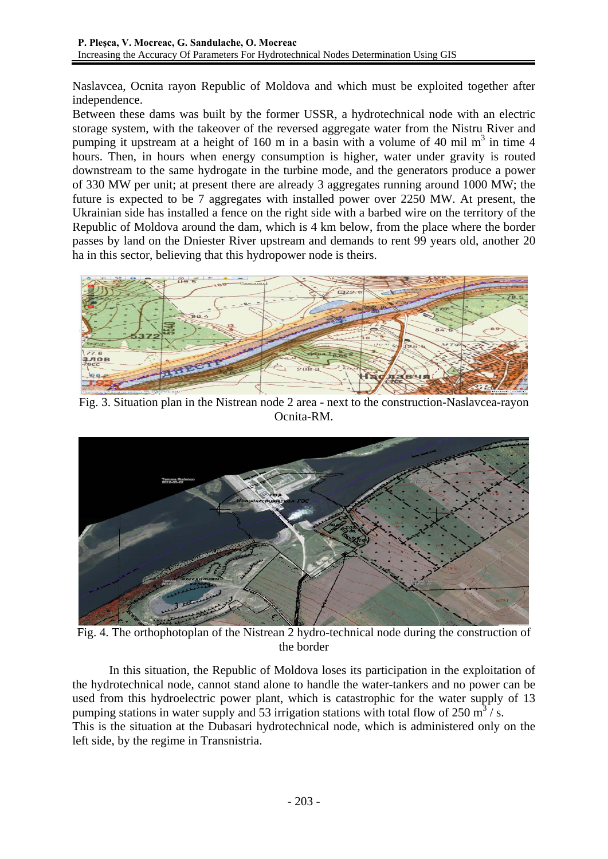Naslavcea, Ocnita rayon Republic of Moldova and which must be exploited together after independence.

Between these dams was built by the former USSR, a hydrotechnical node with an electric storage system, with the takeover of the reversed aggregate water from the Nistru River and pumping it upstream at a height of 160 m in a basin with a volume of 40 mil  $m<sup>3</sup>$  in time 4 hours. Then, in hours when energy consumption is higher, water under gravity is routed downstream to the same hydrogate in the turbine mode, and the generators produce a power of 330 MW per unit; at present there are already 3 aggregates running around 1000 MW; the future is expected to be 7 aggregates with installed power over 2250 MW. At present, the Ukrainian side has installed a fence on the right side with a barbed wire on the territory of the Republic of Moldova around the dam, which is 4 km below, from the place where the border passes by land on the Dniester River upstream and demands to rent 99 years old, another 20 ha in this sector, believing that this hydropower node is theirs.



Fig. 3. Situation plan in the Nistrean node 2 area - next to the construction-Naslavcea-rayon Ocnita-RM.



Fig. 4. The orthophotoplan of the Nistrean 2 hydro-technical node during the construction of the border

In this situation, the Republic of Moldova loses its participation in the exploitation of the hydrotechnical node, cannot stand alone to handle the water-tankers and no power can be used from this hydroelectric power plant, which is catastrophic for the water supply of 13 pumping stations in water supply and 53 irrigation stations with total flow of 250  $\text{m}^3$ /s. This is the situation at the Dubasari hydrotechnical node, which is administered only on the left side, by the regime in Transnistria.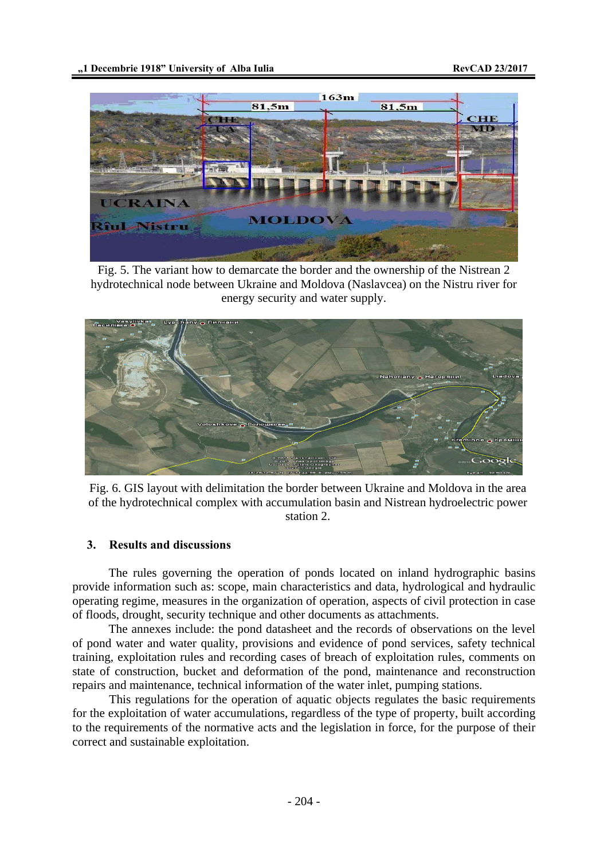

Fig. 5. The variant how to demarcate the border and the ownership of the Nistrean 2 hydrotechnical node between Ukraine and Moldova (Naslavcea) on the Nistru river for energy security and water supply.



Fig. 6. GIS layout with delimitation the border between Ukraine and Moldova in the area of the hydrotechnical complex with accumulation basin and Nistrean hydroelectric power station 2.

## **3. Results and discussions**

The rules governing the operation of ponds located on inland hydrographic basins provide information such as: scope, main characteristics and data, hydrological and hydraulic operating regime, measures in the organization of operation, aspects of civil protection in case of floods, drought, security technique and other documents as attachments.

The annexes include: the pond datasheet and the records of observations on the level of pond water and water quality, provisions and evidence of pond services, safety technical training, exploitation rules and recording cases of breach of exploitation rules, comments on state of construction, bucket and deformation of the pond, maintenance and reconstruction repairs and maintenance, technical information of the water inlet, pumping stations.

This regulations for the operation of aquatic objects regulates the basic requirements for the exploitation of water accumulations, regardless of the type of property, built according to the requirements of the normative acts and the legislation in force, for the purpose of their correct and sustainable exploitation.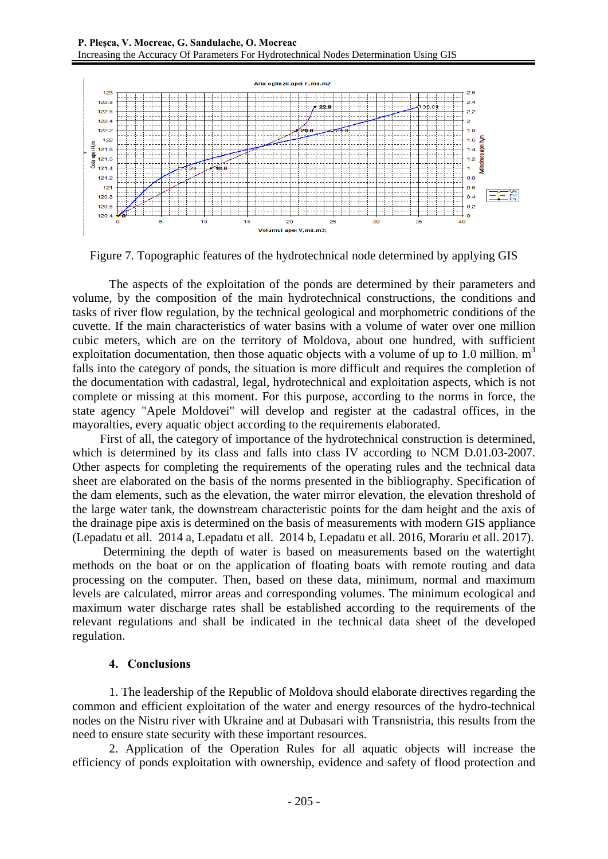

Figure 7. Topographic features of the hydrotechnical node determined by applying GIS

The aspects of the exploitation of the ponds are determined by their parameters and volume, by the composition of the main hydrotechnical constructions, the conditions and tasks of river flow regulation, by the technical geological and morphometric conditions of the cuvette. If the main characteristics of water basins with a volume of water over one million cubic meters, which are on the territory of Moldova, about one hundred, with sufficient exploitation documentation, then those aquatic objects with a volume of up to 1.0 million.  $m<sup>3</sup>$ falls into the category of ponds, the situation is more difficult and requires the completion of the documentation with cadastral, legal, hydrotechnical and exploitation aspects, which is not complete or missing at this moment. For this purpose, according to the norms in force, the state agency "Apele Moldovei" will develop and register at the cadastral offices, in the mayoralties, every aquatic object according to the requirements elaborated.

 First of all, the category of importance of the hydrotechnical construction is determined, which is determined by its class and falls into class IV according to NCM D.01.03-2007. Other aspects for completing the requirements of the operating rules and the technical data sheet are elaborated on the basis of the norms presented in the bibliography. Specification of the dam elements, such as the elevation, the water mirror elevation, the elevation threshold of the large water tank, the downstream characteristic points for the dam height and the axis of the drainage pipe axis is determined on the basis of measurements with modern GIS appliance (Lepadatu et all. 2014 a, Lepadatu et all. 2014 b, Lepadatu et all. 2016, Morariu et all. 2017).

 Determining the depth of water is based on measurements based on the watertight methods on the boat or on the application of floating boats with remote routing and data processing on the computer. Then, based on these data, minimum, normal and maximum levels are calculated, mirror areas and corresponding volumes. The minimum ecological and maximum water discharge rates shall be established according to the requirements of the relevant regulations and shall be indicated in the technical data sheet of the developed regulation.

# **4. Conclusions**

1. The leadership of the Republic of Moldova should elaborate directives regarding the common and efficient exploitation of the water and energy resources of the hydro-technical nodes on the Nistru river with Ukraine and at Dubasari with Transnistria, this results from the need to ensure state security with these important resources.

2. Application of the Operation Rules for all aquatic objects will increase the efficiency of ponds exploitation with ownership, evidence and safety of flood protection and